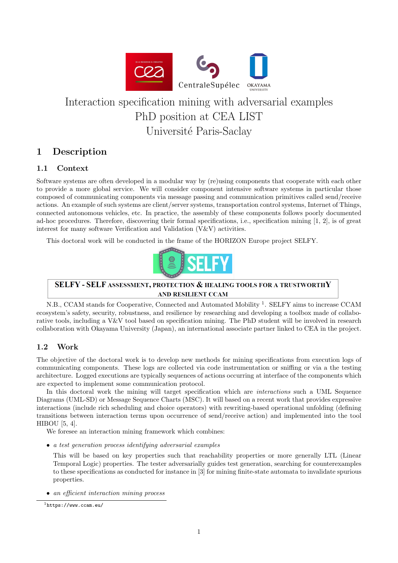

# Interaction specification mining with adversarial examples PhD position at CEA LIST Université Paris-Saclay

# 1 Description

#### 1.1 Context

Software systems are often developed in a modular way by (re)using components that cooperate with each other to provide a more global service. We will consider component intensive software systems in particular those composed of communicating components via message passing and communication primitives called send/receive actions. An example of such systems are client/server systems, transportation control systems, Internet of Things, connected autonomous vehicles, etc. In practice, the assembly of these components follows poorly documented ad-hoc procedures. Therefore, discovering their formal specifications, i.e., specification mining [1, 2], is of great interest for many software Verification and Validation  $(V&V)$  activities.

This doctoral work will be conducted in the frame of the HORIZON Europe project SELFY.



#### SELFY - SELF ASSESSMENT, PROTECTION & HEALING TOOLS FOR A TRUSTWORTHY AND RESILIENT CCAM

N.B., CCAM stands for Cooperative, Connected and Automated Mobility<sup>1</sup>. SELFY aims to increase CCAM ecosystem's safety, security, robustness, and resilience by researching and developing a toolbox made of collaborative tools, including a V&V tool based on specification mining. The PhD student will be involved in research collaboration with Okayama University (Japan), an international associate partner linked to CEA in the project.

#### 1.2 Work

The objective of the doctoral work is to develop new methods for mining specifications from execution logs of communicating components. These logs are collected via code instrumentation or sniffing or via a the testing architecture. Logged executions are typically sequences of actions occurring at interface of the components which are expected to implement some communication protocol.

In this doctoral work the mining will target specification which are *interactions* such a UML Sequence Diagrams (UML-SD) or Message Sequence Charts (MSC). It will based on a recent work that provides expressive interactions (include rich scheduling and choice operators) with rewriting-based operational unfolding (defining transitions between interaction terms upon occurrence of send/receive action) and implemented into the tool HIBOU [5, 4].

We foresee an interaction mining framework which combines:

• a test generation process identifying adversarial examples

This will be based on key properties such that reachability properties or more generally LTL (Linear Temporal Logic) properties. The tester adversarially guides test generation, searching for counterexamples to these specifications as conducted for instance in [3] for mining finite-state automata to invalidate spurious properties.

• an efficient interaction mining process

<sup>1</sup>https://www.ccam.eu/